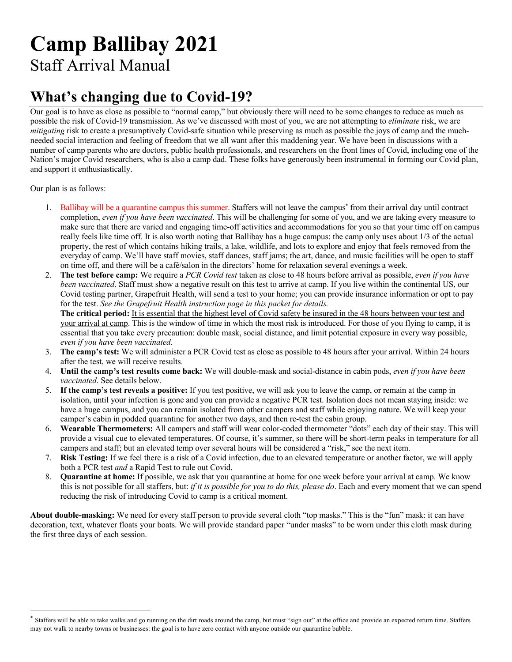# **Camp Ballibay 2021**

Staff Arrival Manual

#### **What's changing due to Covid-19?**

Our goal is to have as close as possible to "normal camp," but obviously there will need to be some changes to reduce as much as possible the risk of Covid-19 transmission. As we've discussed with most of you, we are not attempting to *eliminate* risk, we are *mitigating* risk to create a presumptively Covid-safe situation while preserving as much as possible the joys of camp and the muchneeded social interaction and feeling of freedom that we all want after this maddening year. We have been in discussions with a number of camp parents who are doctors, public health professionals, and researchers on the front lines of Covid, including one of the Nation's major Covid researchers, who is also a camp dad. These folks have generously been instrumental in forming our Covid plan, and support it enthusiastically.

Our plan is as follows:

- 1. Ballibay will be a quarantine campus this summer. Staffers will not leave the campus\* from their arrival day until contract completion, *even if you have been vaccinated*. This will be challenging for some of you, and we are taking every measure to make sure that there are varied and engaging time-off activities and accommodations for you so that your time off on campus really feels like time off. It is also worth noting that Ballibay has a huge campus: the camp only uses about 1/3 of the actual property, the rest of which contains hiking trails, a lake, wildlife, and lots to explore and enjoy that feels removed from the everyday of camp. We'll have staff movies, staff dances, staff jams; the art, dance, and music facilities will be open to staff on time off, and there will be a café/salon in the directors' home for relaxation several evenings a week.
- 2. **The test before camp:** We require a *PCR Covid test* taken as close to 48 hours before arrival as possible, *even if you have been vaccinated*. Staff must show a negative result on this test to arrive at camp. If you live within the continental US, our Covid testing partner, Grapefruit Health, will send a test to your home; you can provide insurance information or opt to pay for the test. *See the Grapefruit Health instruction page in this packet for details.*

**The critical period:** It is essential that the highest level of Covid safety be insured in the 48 hours between your test and your arrival at camp. This is the window of time in which the most risk is introduced. For those of you flying to camp, it is essential that you take every precaution: double mask, social distance, and limit potential exposure in every way possible, *even if you have been vaccinated*.

- 3. **The camp's test:** We will administer a PCR Covid test as close as possible to 48 hours after your arrival. Within 24 hours after the test, we will receive results.
- 4. **Until the camp's test results come back:** We will double-mask and social-distance in cabin pods, *even if you have been vaccinated*. See details below.
- 5. **If the camp's test reveals a positive:** If you test positive, we will ask you to leave the camp, or remain at the camp in isolation, until your infection is gone and you can provide a negative PCR test. Isolation does not mean staying inside: we have a huge campus, and you can remain isolated from other campers and staff while enjoying nature. We will keep your camper's cabin in podded quarantine for another two days, and then re-test the cabin group.
- 6. **Wearable Thermometers:** All campers and staff will wear color-coded thermometer "dots" each day of their stay. This will provide a visual cue to elevated temperatures. Of course, it's summer, so there will be short-term peaks in temperature for all campers and staff; but an elevated temp over several hours will be considered a "risk," see the next item.
- 7. **Risk Testing:** If we feel there is a risk of a Covid infection, due to an elevated temperature or another factor, we will apply both a PCR test *and* a Rapid Test to rule out Covid.
- 8. **Quarantine at home:** If possible, we ask that you quarantine at home for one week before your arrival at camp. We know this is not possible for all staffers, but: *if it is possible for you to do this, please do*. Each and every moment that we can spend reducing the risk of introducing Covid to camp is a critical moment.

**About double-masking:** We need for every staff person to provide several cloth "top masks." This is the "fun" mask: it can have decoration, text, whatever floats your boats. We will provide standard paper "under masks" to be worn under this cloth mask during the first three days of each session.

Staffers will be able to take walks and go running on the dirt roads around the camp, but must "sign out" at the office and provide an expected return time. Staffers may not walk to nearby towns or businesses: the goal is to have zero contact with anyone outside our quarantine bubble.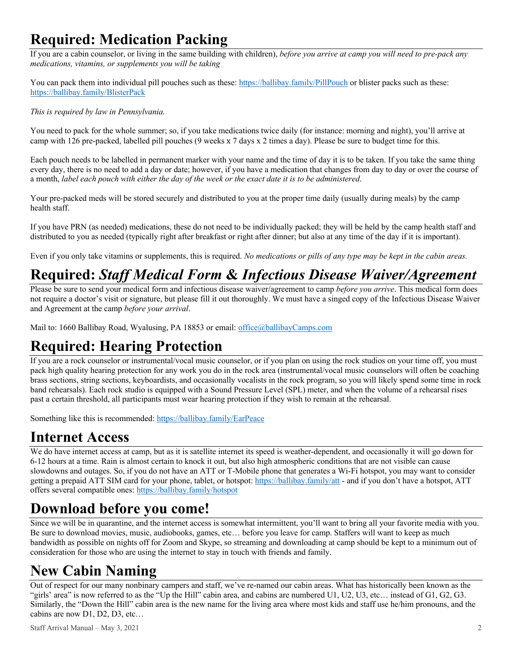### **Required: Medication Packing**

If you are a cabin counselor, or living in the same building with children), *before you arrive at camp you will need to pre-pack any medications, vitamins, or supplements you will be taking* 

You can pack them into individual pill pouches such as these: https://ballibay.family/PillPouch or blister packs such as these: https://ballibay.family/BlisterPack

*This is required by law in Pennsylvania.* 

You need to pack for the whole summer; so, if you take medications twice daily (for instance: morning and night), you'll arrive at camp with 126 pre-packed, labelled pill pouches (9 weeks x 7 days x 2 times a day). Please be sure to budget time for this.

Each pouch needs to be labelled in permanent marker with your name and the time of day it is to be taken. If you take the same thing every day, there is no need to add a day or date; however, if you have a medication that changes from day to day or over the course of a month, *label each pouch with either the day of the week or the exact date it is to be administered*.

Your pre-packed meds will be stored securely and distributed to you at the proper time daily (usually during meals) by the camp health staff.

If you have PRN (as needed) medications, these do not need to be individually packed; they will be held by the camp health staff and distributed to you as needed (typically right after breakfast or right after dinner; but also at any time of the day if it is important).

Even if you only take vitamins or supplements, this is required. *No medications or pills of any type may be kept in the cabin areas.*

### **Required:** *Staff Medical Form* **&** *Infectious Disease Waiver/Agreement*

Please be sure to send your medical form and infectious disease waiver/agreement to camp *before you arrive*. This medical form does not require a doctor's visit or signature, but please fill it out thoroughly. We must have a singed copy of the Infectious Disease Waiver and Agreement at the camp *before your arrival*.

Mail to: 1660 Ballibay Road, Wyalusing, PA 18853 or email: office@ballibayCamps.com

### **Required: Hearing Protection**

If you are a rock counselor or instrumental/vocal music counselor, or if you plan on using the rock studios on your time off, you must pack high quality hearing protection for any work you do in the rock area (instrumental/vocal music counselors will often be coaching brass sections, string sections, keyboardists, and occasionally vocalists in the rock program, so you will likely spend some time in rock band rehearsals). Each rock studio is equipped with a Sound Pressure Level (SPL) meter, and when the volume of a rehearsal rises past a certain threshold, all participants must wear hearing protection if they wish to remain at the rehearsal.

Something like this is recommended: https://ballibay.family/EarPeace

#### **Internet Access**

We do have internet access at camp, but as it is satellite internet its speed is weather-dependent, and occasionally it will go down for 6-12 hours at a time. Rain is almost certain to knock it out, but also high atmospheric conditions that are not visible can cause slowdowns and outages. So, if you do not have an ATT or T-Mobile phone that generates a Wi-Fi hotspot, you may want to consider getting a prepaid ATT SIM card for your phone, tablet, or hotspot: https://ballibay.family/att - and if you don't have a hotspot, ATT offers several compatible ones: https://ballibay.family/hotspot

### **Download before you come!**

Since we will be in quarantine, and the internet access is somewhat intermittent, you'll want to bring all your favorite media with you. Be sure to download movies, music, audiobooks, games, etc… before you leave for camp. Staffers will want to keep as much bandwidth as possible on nights off for Zoom and Skype, so streaming and downloading at camp should be kept to a minimum out of consideration for those who are using the internet to stay in touch with friends and family.

### **New Cabin Naming**

Out of respect for our many nonbinary campers and staff, we've re-named our cabin areas. What has historically been known as the "girls' area" is now referred to as the "Up the Hill" cabin area, and cabins are numbered U1, U2, U3, etc… instead of G1, G2, G3. Similarly, the "Down the Hill" cabin area is the new name for the living area where most kids and staff use he/him pronouns, and the cabins are now D1, D2, D3, etc…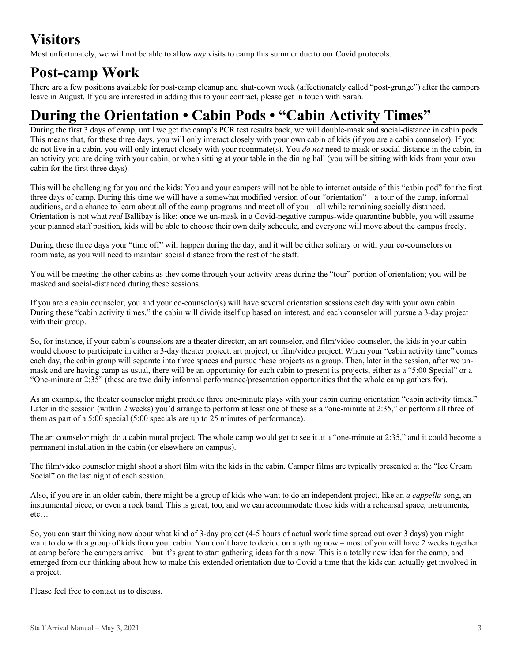# **Visitors**

Most unfortunately, we will not be able to allow *any* visits to camp this summer due to our Covid protocols.

#### **Post-camp Work**

There are a few positions available for post-camp cleanup and shut-down week (affectionately called "post-grunge") after the campers leave in August. If you are interested in adding this to your contract, please get in touch with Sarah.

# **During the Orientation • Cabin Pods • "Cabin Activity Times"**

During the first 3 days of camp, until we get the camp's PCR test results back, we will double-mask and social-distance in cabin pods. This means that, for these three days, you will only interact closely with your own cabin of kids (if you are a cabin counselor). If you do not live in a cabin, you will only interact closely with your roommate(s). You *do not* need to mask or social distance in the cabin, in an activity you are doing with your cabin, or when sitting at your table in the dining hall (you will be sitting with kids from your own cabin for the first three days).

This will be challenging for you and the kids: You and your campers will not be able to interact outside of this "cabin pod" for the first three days of camp. During this time we will have a somewhat modified version of our "orientation" – a tour of the camp, informal auditions, and a chance to learn about all of the camp programs and meet all of you – all while remaining socially distanced. Orientation is not what *real* Ballibay is like: once we un-mask in a Covid-negative campus-wide quarantine bubble, you will assume your planned staff position, kids will be able to choose their own daily schedule, and everyone will move about the campus freely.

During these three days your "time off" will happen during the day, and it will be either solitary or with your co-counselors or roommate, as you will need to maintain social distance from the rest of the staff.

You will be meeting the other cabins as they come through your activity areas during the "tour" portion of orientation; you will be masked and social-distanced during these sessions.

If you are a cabin counselor, you and your co-counselor(s) will have several orientation sessions each day with your own cabin. During these "cabin activity times," the cabin will divide itself up based on interest, and each counselor will pursue a 3-day project with their group.

So, for instance, if your cabin's counselors are a theater director, an art counselor, and film/video counselor, the kids in your cabin would choose to participate in either a 3-day theater project, art project, or film/video project. When your "cabin activity time" comes each day, the cabin group will separate into three spaces and pursue these projects as a group. Then, later in the session, after we unmask and are having camp as usual, there will be an opportunity for each cabin to present its projects, either as a "5:00 Special" or a "One-minute at 2:35" (these are two daily informal performance/presentation opportunities that the whole camp gathers for).

As an example, the theater counselor might produce three one-minute plays with your cabin during orientation "cabin activity times." Later in the session (within 2 weeks) you'd arrange to perform at least one of these as a "one-minute at 2:35," or perform all three of them as part of a 5:00 special (5:00 specials are up to 25 minutes of performance).

The art counselor might do a cabin mural project. The whole camp would get to see it at a "one-minute at 2:35," and it could become a permanent installation in the cabin (or elsewhere on campus).

The film/video counselor might shoot a short film with the kids in the cabin. Camper films are typically presented at the "Ice Cream Social" on the last night of each session.

Also, if you are in an older cabin, there might be a group of kids who want to do an independent project, like an *a cappella* song, an instrumental piece, or even a rock band. This is great, too, and we can accommodate those kids with a rehearsal space, instruments, etc…

So, you can start thinking now about what kind of 3-day project (4-5 hours of actual work time spread out over 3 days) you might want to do with a group of kids from your cabin. You don't have to decide on anything now – most of you will have 2 weeks together at camp before the campers arrive – but it's great to start gathering ideas for this now. This is a totally new idea for the camp, and emerged from our thinking about how to make this extended orientation due to Covid a time that the kids can actually get involved in a project.

Please feel free to contact us to discuss.